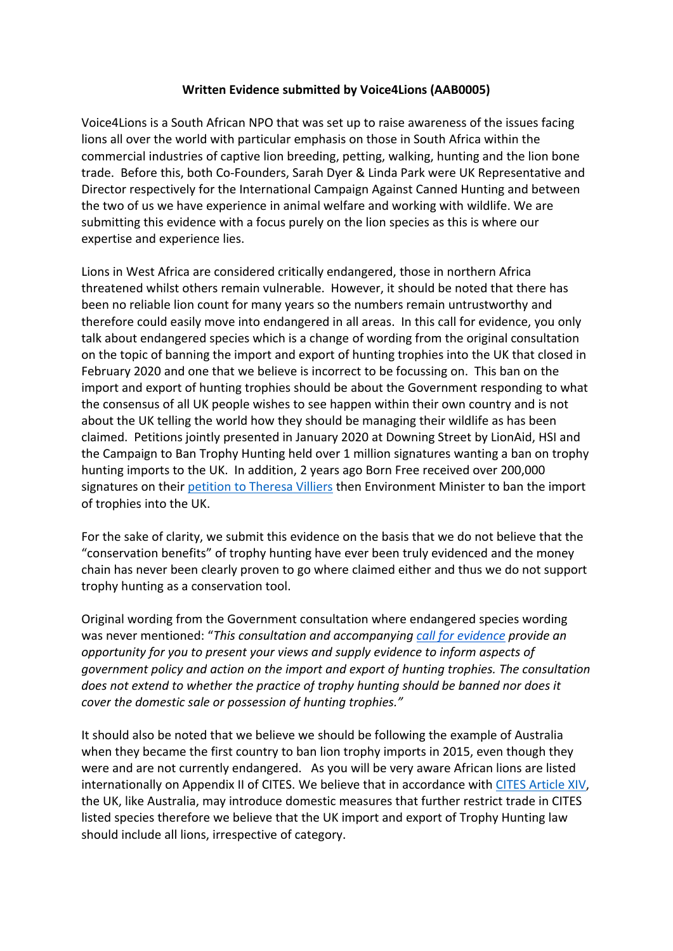## **Written Evidence submitted by Voice4Lions (AAB0005)**

Voice4Lions is a South African NPO that was set up to raise awareness of the issues facing lions all over the world with particular emphasis on those in South Africa within the commercial industries of captive lion breeding, petting, walking, hunting and the lion bone trade. Before this, both Co-Founders, Sarah Dyer & Linda Park were UK Representative and Director respectively for the International Campaign Against Canned Hunting and between the two of us we have experience in animal welfare and working with wildlife. We are submitting this evidence with a focus purely on the lion species as this is where our expertise and experience lies.

Lions in West Africa are considered critically endangered, those in northern Africa threatened whilst others remain vulnerable. However, it should be noted that there has been no reliable lion count for many years so the numbers remain untrustworthy and therefore could easily move into endangered in all areas. In this call for evidence, you only talk about endangered species which is a change of wording from the original consultation on the topic of banning the import and export of hunting trophies into the UK that closed in February 2020 and one that we believe is incorrect to be focussing on. This ban on the import and export of hunting trophies should be about the Government responding to what the consensus of all UK people wishes to see happen within their own country and is not about the UK telling the world how they should be managing their wildlife as has been claimed. Petitions jointly presented in January 2020 at Downing Street by LionAid, HSI and the Campaign to Ban Trophy Hunting held over 1 million signatures wanting a ban on trophy hunting imports to the UK. In addition, 2 years ago Born Free received over 200,000 signatures on their [petition](https://you.38degrees.org.uk/petitions/ban-the-import-of-hunting-trophies) [to](https://you.38degrees.org.uk/petitions/ban-the-import-of-hunting-trophies) [Theresa](https://you.38degrees.org.uk/petitions/ban-the-import-of-hunting-trophies) [Villiers](https://you.38degrees.org.uk/petitions/ban-the-import-of-hunting-trophies) then Environment Minister to ban the import of trophies into the UK.

For the sake of clarity, we submit this evidence on the basis that we do not believe that the "conservation benefits" of trophy hunting have ever been truly evidenced and the money chain has never been clearly proven to go where claimed either and thus we do not support trophy hunting as a conservation tool.

Original wording from the Government consultation where endangered species wording was never mentioned: "*This consultation and accompanying [call](https://consult.defra.gov.uk/wildlife-management/call-for-evidence-trophy-hunting) [for](https://consult.defra.gov.uk/wildlife-management/call-for-evidence-trophy-hunting) [evidence](https://consult.defra.gov.uk/wildlife-management/call-for-evidence-trophy-hunting) provide an opportunity for you to present your views and supply evidence to inform aspects of government policy and action on the import and export of hunting trophies. The consultation does not extend to whether the practice of trophy hunting should be banned nor does it cover the domestic sale or possession of hunting trophies."*

It should also be noted that we believe we should be following the example of Australia when they became the first country to ban lion trophy imports in 2015, even though they were and are not currently endangered. As you will be very aware African lions are listed internationally on Appendix II of CITES. We believe that in accordance with [CITES](http://www.environment.gov.au/biodiversity/wildlife-trade/cites/stricter-measures/african-lion) [Article](http://www.environment.gov.au/biodiversity/wildlife-trade/cites/stricter-measures/african-lion) [XIV,](http://www.environment.gov.au/biodiversity/wildlife-trade/cites/stricter-measures/african-lion) the UK, like Australia, may introduce domestic measures that further restrict trade in CITES listed species therefore we believe that the UK import and export of Trophy Hunting law should include all lions, irrespective of category.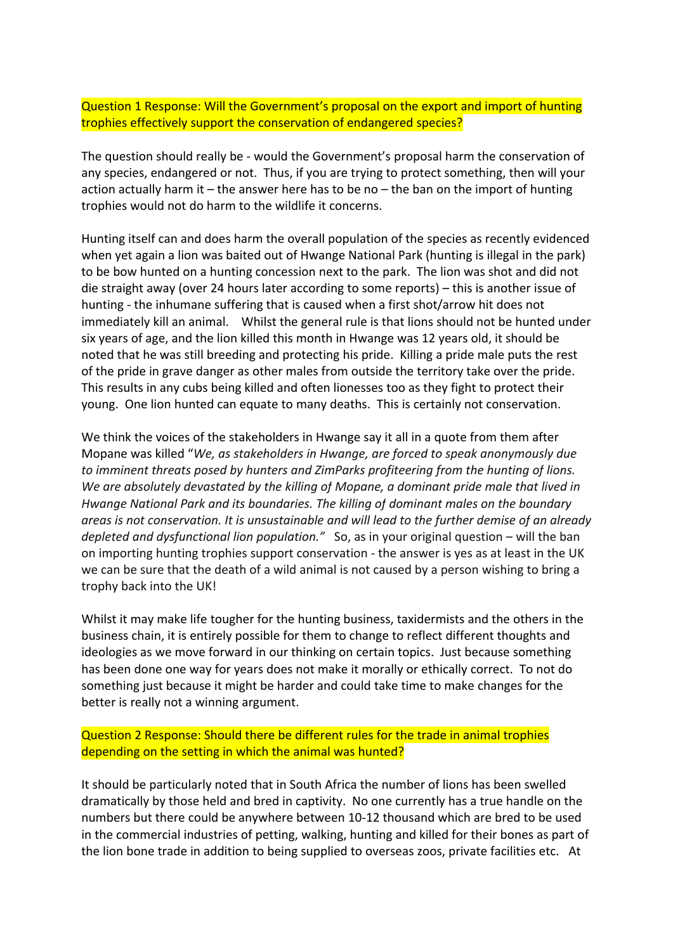Question 1 Response: Will the Government's proposal on the export and import of hunting trophies effectively support the conservation of endangered species?

The question should really be - would the Government's proposal harm the conservation of any species, endangered or not. Thus, if you are trying to protect something, then will your action actually harm it – the answer here has to be no – the ban on the import of hunting trophies would not do harm to the wildlife it concerns.

Hunting itself can and does harm the overall population of the species as recently evidenced when yet again a lion was baited out of Hwange National Park (hunting is illegal in the park) to be bow hunted on a hunting concession next to the park. The lion was shot and did not die straight away (over 24 hours later according to some reports) – this is another issue of hunting - the inhumane suffering that is caused when a first shot/arrow hit does not immediately kill an animal. Whilst the general rule is that lions should not be hunted under six years of age, and the lion killed this month in Hwange was 12 years old, it should be noted that he was still breeding and protecting his pride. Killing a pride male puts the rest of the pride in grave danger as other males from outside the territory take over the pride. This results in any cubs being killed and often lionesses too as they fight to protect their young. One lion hunted can equate to many deaths. This is certainly not conservation.

We think the voices of the stakeholders in Hwange say it all in a quote from them after Mopane was killed "*We, as stakeholders in Hwange, are forced to speak anonymously due to imminent threats posed by hunters and ZimParks profiteering from the hunting of lions. We are absolutely devastated by the killing of Mopane, a dominant pride male that lived in Hwange National Park and its boundaries. The killing of dominant males on the boundary areas is not conservation. It is unsustainable and will lead to the further demise of an already depleted and dysfunctional lion population."* So, as in your original question – will the ban on importing hunting trophies support conservation - the answer is yes as at least in the UK we can be sure that the death of a wild animal is not caused by a person wishing to bring a trophy back into the UK!

Whilst it may make life tougher for the hunting business, taxidermists and the others in the business chain, it is entirely possible for them to change to reflect different thoughts and ideologies as we move forward in our thinking on certain topics. Just because something has been done one way for years does not make it morally or ethically correct. To not do something just because it might be harder and could take time to make changes for the better is really not a winning argument.

Question 2 Response: Should there be different rules for the trade in animal trophies depending on the setting in which the animal was hunted?

It should be particularly noted that in South Africa the number of lions has been swelled dramatically by those held and bred in captivity. No one currently has a true handle on the numbers but there could be anywhere between 10-12 thousand which are bred to be used in the commercial industries of petting, walking, hunting and killed for their bones as part of the lion bone trade in addition to being supplied to overseas zoos, private facilities etc. At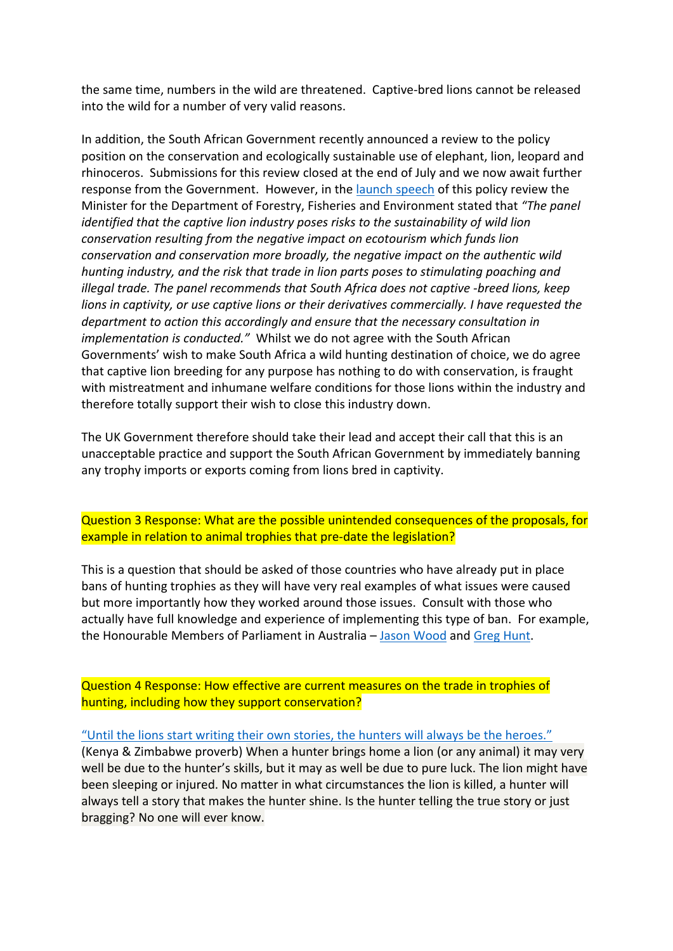the same time, numbers in the wild are threatened. Captive-bred lions cannot be released into the wild for a number of very valid reasons.

In addition, the South African Government recently announced a review to the policy position on the conservation and ecologically sustainable use of elephant, lion, leopard and rhinoceros. Submissions for this review closed at the end of July and we now await further response from the Government. However, in the [launch](https://www.environment.gov.za/speeches/creecy_releaseofhlpreport_pretoria) [speech](https://www.environment.gov.za/speeches/creecy_releaseofhlpreport_pretoria) of this policy review the Minister for the Department of Forestry, Fisheries and Environment stated that *"The panel identified that the captive lion industry poses risks to the sustainability of wild lion conservation resulting from the negative impact on ecotourism which funds lion conservation and conservation more broadly, the negative impact on the authentic wild hunting industry, and the risk that trade in lion parts poses to stimulating poaching and illegal trade. The panel recommends that South Africa does not captive -breed lions, keep lions in captivity, or use captive lions or their derivatives commercially. I have requested the department to action this accordingly and ensure that the necessary consultation in implementation is conducted."* Whilst we do not agree with the South African Governments' wish to make South Africa a wild hunting destination of choice, we do agree that captive lion breeding for any purpose has nothing to do with conservation, is fraught with mistreatment and inhumane welfare conditions for those lions within the industry and therefore totally support their wish to close this industry down.

The UK Government therefore should take their lead and accept their call that this is an unacceptable practice and support the South African Government by immediately banning any trophy imports or exports coming from lions bred in captivity.

## Question 3 Response: What are the possible unintended consequences of the proposals, for example in relation to animal trophies that pre-date the legislation?

This is a question that should be asked of those countries who have already put in place bans of hunting trophies as they will have very real examples of what issues were caused but more importantly how they worked around those issues. Consult with those who actually have full knowledge and experience of implementing this type of ban. For example, the Honourable Members of Parliament in Australia – [Jason](https://www.aph.gov.au/Senators_and_Members/Parliamentarian?MPID=E0F) [Wood](https://www.aph.gov.au/Senators_and_Members/Parliamentarian?MPID=E0F) and [Greg](https://www.aph.gov.au/Senators_and_Members/Parliamentarian?MPID=00AMV) [Hunt](https://www.aph.gov.au/Senators_and_Members/Parliamentarian?MPID=00AMV).

Question 4 Response: How effective are current measures on the trade in trophies of hunting, including how they support conservation?

## ["Until](https://afriprov.org/april-2006-proverb-quntil-the-lion-has-his-or-her-own-storyteller-the-hunter-will-always-have-the-best-part-of-the-storyq-ewe-mina-benin-ghana-and-togo/) [the](https://afriprov.org/april-2006-proverb-quntil-the-lion-has-his-or-her-own-storyteller-the-hunter-will-always-have-the-best-part-of-the-storyq-ewe-mina-benin-ghana-and-togo/) [lions](https://afriprov.org/april-2006-proverb-quntil-the-lion-has-his-or-her-own-storyteller-the-hunter-will-always-have-the-best-part-of-the-storyq-ewe-mina-benin-ghana-and-togo/) [start](https://afriprov.org/april-2006-proverb-quntil-the-lion-has-his-or-her-own-storyteller-the-hunter-will-always-have-the-best-part-of-the-storyq-ewe-mina-benin-ghana-and-togo/) [writing](https://afriprov.org/april-2006-proverb-quntil-the-lion-has-his-or-her-own-storyteller-the-hunter-will-always-have-the-best-part-of-the-storyq-ewe-mina-benin-ghana-and-togo/) [their](https://afriprov.org/april-2006-proverb-quntil-the-lion-has-his-or-her-own-storyteller-the-hunter-will-always-have-the-best-part-of-the-storyq-ewe-mina-benin-ghana-and-togo/) [own](https://afriprov.org/april-2006-proverb-quntil-the-lion-has-his-or-her-own-storyteller-the-hunter-will-always-have-the-best-part-of-the-storyq-ewe-mina-benin-ghana-and-togo/) [stories,](https://afriprov.org/april-2006-proverb-quntil-the-lion-has-his-or-her-own-storyteller-the-hunter-will-always-have-the-best-part-of-the-storyq-ewe-mina-benin-ghana-and-togo/) [the](https://afriprov.org/april-2006-proverb-quntil-the-lion-has-his-or-her-own-storyteller-the-hunter-will-always-have-the-best-part-of-the-storyq-ewe-mina-benin-ghana-and-togo/) [hunters](https://afriprov.org/april-2006-proverb-quntil-the-lion-has-his-or-her-own-storyteller-the-hunter-will-always-have-the-best-part-of-the-storyq-ewe-mina-benin-ghana-and-togo/) [will](https://afriprov.org/april-2006-proverb-quntil-the-lion-has-his-or-her-own-storyteller-the-hunter-will-always-have-the-best-part-of-the-storyq-ewe-mina-benin-ghana-and-togo/) [always](https://afriprov.org/april-2006-proverb-quntil-the-lion-has-his-or-her-own-storyteller-the-hunter-will-always-have-the-best-part-of-the-storyq-ewe-mina-benin-ghana-and-togo/) [be](https://afriprov.org/april-2006-proverb-quntil-the-lion-has-his-or-her-own-storyteller-the-hunter-will-always-have-the-best-part-of-the-storyq-ewe-mina-benin-ghana-and-togo/) [the](https://afriprov.org/april-2006-proverb-quntil-the-lion-has-his-or-her-own-storyteller-the-hunter-will-always-have-the-best-part-of-the-storyq-ewe-mina-benin-ghana-and-togo/) [heroes."](https://afriprov.org/april-2006-proverb-quntil-the-lion-has-his-or-her-own-storyteller-the-hunter-will-always-have-the-best-part-of-the-storyq-ewe-mina-benin-ghana-and-togo/)

(Kenya & Zimbabwe proverb) When a hunter brings home a lion (or any animal) it may very well be due to the hunter's skills, but it may as well be due to pure luck. The lion might have been sleeping or injured. No matter in what circumstances the lion is killed, a hunter will always tell a story that makes the hunter shine. Is the hunter telling the true story or just bragging? No one will ever know.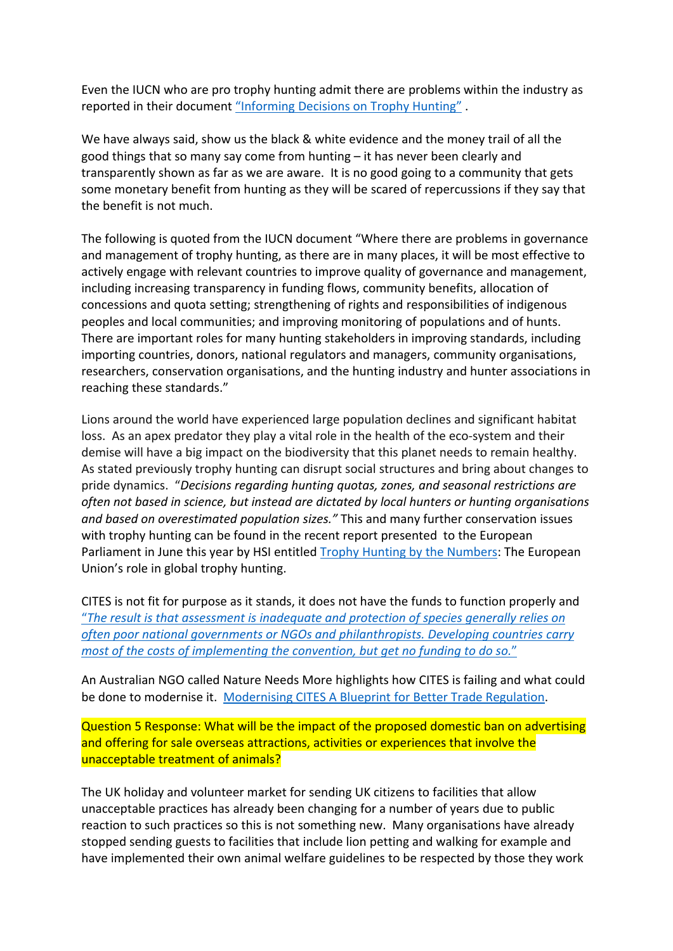Even the IUCN who are pro trophy hunting admit there are problems within the industry as reported in their document ["Informing](https://www.iucn.org/sites/dev/files/iucn_sept_briefing_paper_-_informingdecisionstrophyhunting.pdf) [Decisions](https://www.iucn.org/sites/dev/files/iucn_sept_briefing_paper_-_informingdecisionstrophyhunting.pdf) [on](https://www.iucn.org/sites/dev/files/iucn_sept_briefing_paper_-_informingdecisionstrophyhunting.pdf) [Trophy](https://www.iucn.org/sites/dev/files/iucn_sept_briefing_paper_-_informingdecisionstrophyhunting.pdf) [Hunting"](https://www.iucn.org/sites/dev/files/iucn_sept_briefing_paper_-_informingdecisionstrophyhunting.pdf).

We have always said, show us the black & white evidence and the money trail of all the good things that so many say come from hunting – it has never been clearly and transparently shown as far as we are aware. It is no good going to a community that gets some monetary benefit from hunting as they will be scared of repercussions if they say that the benefit is not much.

The following is quoted from the IUCN document "Where there are problems in governance and management of trophy hunting, as there are in many places, it will be most effective to actively engage with relevant countries to improve quality of governance and management, including increasing transparency in funding flows, community benefits, allocation of concessions and quota setting; strengthening of rights and responsibilities of indigenous peoples and local communities; and improving monitoring of populations and of hunts. There are important roles for many hunting stakeholders in improving standards, including importing countries, donors, national regulators and managers, community organisations, researchers, conservation organisations, and the hunting industry and hunter associations in reaching these standards."

Lions around the world have experienced large population declines and significant habitat loss. As an apex predator they play a vital role in the health of the eco-system and their demise will have a big impact on the biodiversity that this planet needs to remain healthy. As stated previously trophy hunting can disrupt social structures and bring about changes to pride dynamics. "*Decisions regarding hunting quotas, zones, and seasonal restrictions are often not based in science, but instead are dictated by local hunters or hunting organisations and based on overestimated population sizes."* This and many further conservation issues with trophy hunting can be found in the recent report presented to the European Parliament in June this year by HSI entitled [Trophy](https://www.hsi.org/wp-content/uploads/2021/06/Trophy-hunting-numbers-eu-report.pdf) [Hunting](https://www.hsi.org/wp-content/uploads/2021/06/Trophy-hunting-numbers-eu-report.pdf) [by](https://www.hsi.org/wp-content/uploads/2021/06/Trophy-hunting-numbers-eu-report.pdf) [the](https://www.hsi.org/wp-content/uploads/2021/06/Trophy-hunting-numbers-eu-report.pdf) [Numbers](https://www.hsi.org/wp-content/uploads/2021/06/Trophy-hunting-numbers-eu-report.pdf): The European Union's role in global trophy hunting.

CITES is not fit for purpose as it stands, it does not have the funds to function properly and ["](https://www.dailymaverick.co.za/article/2021-07-04-cites-has-failed-the-natural-world-heres-how-it-can-be-fixed/)*[The](https://www.dailymaverick.co.za/article/2021-07-04-cites-has-failed-the-natural-world-heres-how-it-can-be-fixed/) [result](https://www.dailymaverick.co.za/article/2021-07-04-cites-has-failed-the-natural-world-heres-how-it-can-be-fixed/) [is](https://www.dailymaverick.co.za/article/2021-07-04-cites-has-failed-the-natural-world-heres-how-it-can-be-fixed/) [that](https://www.dailymaverick.co.za/article/2021-07-04-cites-has-failed-the-natural-world-heres-how-it-can-be-fixed/) [assessment](https://www.dailymaverick.co.za/article/2021-07-04-cites-has-failed-the-natural-world-heres-how-it-can-be-fixed/) [is](https://www.dailymaverick.co.za/article/2021-07-04-cites-has-failed-the-natural-world-heres-how-it-can-be-fixed/) [inadequate](https://www.dailymaverick.co.za/article/2021-07-04-cites-has-failed-the-natural-world-heres-how-it-can-be-fixed/) [and](https://www.dailymaverick.co.za/article/2021-07-04-cites-has-failed-the-natural-world-heres-how-it-can-be-fixed/) [protection](https://www.dailymaverick.co.za/article/2021-07-04-cites-has-failed-the-natural-world-heres-how-it-can-be-fixed/) [of](https://www.dailymaverick.co.za/article/2021-07-04-cites-has-failed-the-natural-world-heres-how-it-can-be-fixed/) [species](https://www.dailymaverick.co.za/article/2021-07-04-cites-has-failed-the-natural-world-heres-how-it-can-be-fixed/) [generally](https://www.dailymaverick.co.za/article/2021-07-04-cites-has-failed-the-natural-world-heres-how-it-can-be-fixed/) [relies](https://www.dailymaverick.co.za/article/2021-07-04-cites-has-failed-the-natural-world-heres-how-it-can-be-fixed/) [on](https://www.dailymaverick.co.za/article/2021-07-04-cites-has-failed-the-natural-world-heres-how-it-can-be-fixed/) [often](https://www.dailymaverick.co.za/article/2021-07-04-cites-has-failed-the-natural-world-heres-how-it-can-be-fixed/) [poor](https://www.dailymaverick.co.za/article/2021-07-04-cites-has-failed-the-natural-world-heres-how-it-can-be-fixed/) [national](https://www.dailymaverick.co.za/article/2021-07-04-cites-has-failed-the-natural-world-heres-how-it-can-be-fixed/) [governments](https://www.dailymaverick.co.za/article/2021-07-04-cites-has-failed-the-natural-world-heres-how-it-can-be-fixed/) [or](https://www.dailymaverick.co.za/article/2021-07-04-cites-has-failed-the-natural-world-heres-how-it-can-be-fixed/) [NGOs](https://www.dailymaverick.co.za/article/2021-07-04-cites-has-failed-the-natural-world-heres-how-it-can-be-fixed/) [and](https://www.dailymaverick.co.za/article/2021-07-04-cites-has-failed-the-natural-world-heres-how-it-can-be-fixed/) [philanthropists.](https://www.dailymaverick.co.za/article/2021-07-04-cites-has-failed-the-natural-world-heres-how-it-can-be-fixed/) [Developing](https://www.dailymaverick.co.za/article/2021-07-04-cites-has-failed-the-natural-world-heres-how-it-can-be-fixed/) [countries](https://www.dailymaverick.co.za/article/2021-07-04-cites-has-failed-the-natural-world-heres-how-it-can-be-fixed/) [carry](https://www.dailymaverick.co.za/article/2021-07-04-cites-has-failed-the-natural-world-heres-how-it-can-be-fixed/) [most](https://www.dailymaverick.co.za/article/2021-07-04-cites-has-failed-the-natural-world-heres-how-it-can-be-fixed/) [of](https://www.dailymaverick.co.za/article/2021-07-04-cites-has-failed-the-natural-world-heres-how-it-can-be-fixed/) [the](https://www.dailymaverick.co.za/article/2021-07-04-cites-has-failed-the-natural-world-heres-how-it-can-be-fixed/) [costs](https://www.dailymaverick.co.za/article/2021-07-04-cites-has-failed-the-natural-world-heres-how-it-can-be-fixed/) [of](https://www.dailymaverick.co.za/article/2021-07-04-cites-has-failed-the-natural-world-heres-how-it-can-be-fixed/) [implementing](https://www.dailymaverick.co.za/article/2021-07-04-cites-has-failed-the-natural-world-heres-how-it-can-be-fixed/) [the](https://www.dailymaverick.co.za/article/2021-07-04-cites-has-failed-the-natural-world-heres-how-it-can-be-fixed/) [convention,](https://www.dailymaverick.co.za/article/2021-07-04-cites-has-failed-the-natural-world-heres-how-it-can-be-fixed/) [but](https://www.dailymaverick.co.za/article/2021-07-04-cites-has-failed-the-natural-world-heres-how-it-can-be-fixed/) [get](https://www.dailymaverick.co.za/article/2021-07-04-cites-has-failed-the-natural-world-heres-how-it-can-be-fixed/) [no](https://www.dailymaverick.co.za/article/2021-07-04-cites-has-failed-the-natural-world-heres-how-it-can-be-fixed/) [funding](https://www.dailymaverick.co.za/article/2021-07-04-cites-has-failed-the-natural-world-heres-how-it-can-be-fixed/) [to](https://www.dailymaverick.co.za/article/2021-07-04-cites-has-failed-the-natural-world-heres-how-it-can-be-fixed/) [do](https://www.dailymaverick.co.za/article/2021-07-04-cites-has-failed-the-natural-world-heres-how-it-can-be-fixed/) [so.](https://www.dailymaverick.co.za/article/2021-07-04-cites-has-failed-the-natural-world-heres-how-it-can-be-fixed/)*["](https://www.dailymaverick.co.za/article/2021-07-04-cites-has-failed-the-natural-world-heres-how-it-can-be-fixed/)

An Australian NGO called Nature Needs More highlights how CITES is failing and what could be done to modernise it. [Modernising](https://natureneedsmore.org/wp-content/uploads/2021/06/Modernising-CITES-Web-Version.pdf) [CITES](https://natureneedsmore.org/wp-content/uploads/2021/06/Modernising-CITES-Web-Version.pdf) [A](https://natureneedsmore.org/wp-content/uploads/2021/06/Modernising-CITES-Web-Version.pdf) [Blueprint](https://natureneedsmore.org/wp-content/uploads/2021/06/Modernising-CITES-Web-Version.pdf) [for](https://natureneedsmore.org/wp-content/uploads/2021/06/Modernising-CITES-Web-Version.pdf) [Better](https://natureneedsmore.org/wp-content/uploads/2021/06/Modernising-CITES-Web-Version.pdf) [Trade](https://natureneedsmore.org/wp-content/uploads/2021/06/Modernising-CITES-Web-Version.pdf) [Regulation](https://natureneedsmore.org/wp-content/uploads/2021/06/Modernising-CITES-Web-Version.pdf).

Question 5 Response: What will be the impact of the proposed domestic ban on advertising and offering for sale overseas attractions, activities or experiences that involve the unacceptable treatment of animals?

The UK holiday and volunteer market for sending UK citizens to facilities that allow unacceptable practices has already been changing for a number of years due to public reaction to such practices so this is not something new. Many organisations have already stopped sending guests to facilities that include lion petting and walking for example and have implemented their own animal welfare guidelines to be respected by those they work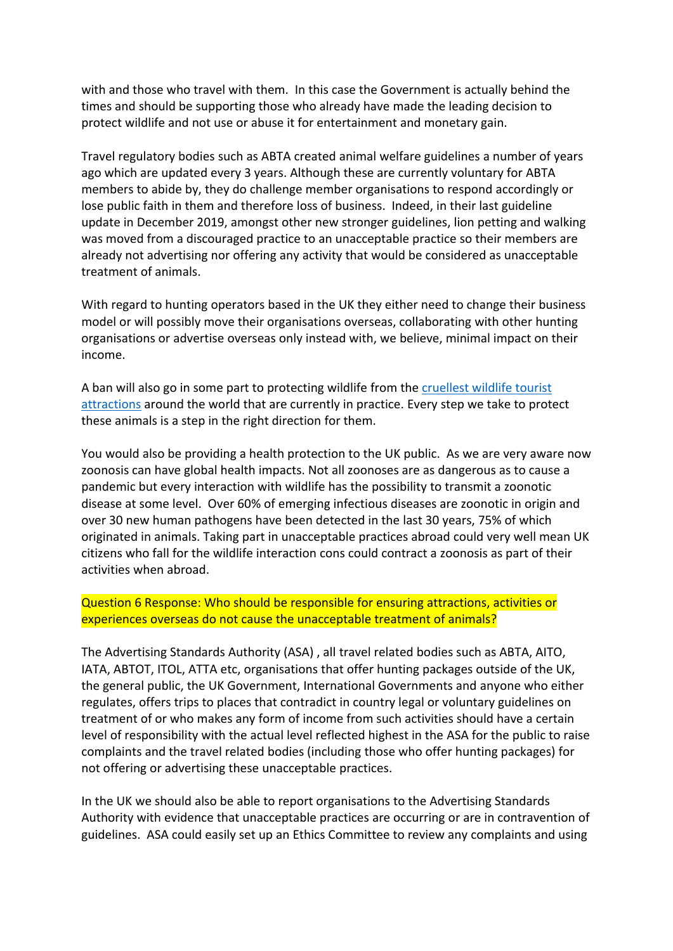with and those who travel with them. In this case the Government is actually behind the times and should be supporting those who already have made the leading decision to protect wildlife and not use or abuse it for entertainment and monetary gain.

Travel regulatory bodies such as ABTA created animal welfare guidelines a number of years ago which are updated every 3 years. Although these are currently voluntary for ABTA members to abide by, they do challenge member organisations to respond accordingly or lose public faith in them and therefore loss of business. Indeed, in their last guideline update in December 2019, amongst other new stronger guidelines, lion petting and walking was moved from a discouraged practice to an unacceptable practice so their members are already not advertising nor offering any activity that would be considered as unacceptable treatment of animals.

With regard to hunting operators based in the UK they either need to change their business model or will possibly move their organisations overseas, collaborating with other hunting organisations or advertise overseas only instead with, we believe, minimal impact on their income.

A ban will also go in some part to protecting wildlife from the [cruellest](https://www.worldanimalprotection.org.uk/campaigns/animals-wild/wildlife-not-entertainers/worlds-cruellest-attractions?from=international_en) [wildlife](https://www.worldanimalprotection.org.uk/campaigns/animals-wild/wildlife-not-entertainers/worlds-cruellest-attractions?from=international_en) [tourist](https://www.worldanimalprotection.org.uk/campaigns/animals-wild/wildlife-not-entertainers/worlds-cruellest-attractions?from=international_en) [attractions](https://www.worldanimalprotection.org.uk/campaigns/animals-wild/wildlife-not-entertainers/worlds-cruellest-attractions?from=international_en) around the world that are currently in practice. Every step we take to protect these animals is a step in the right direction for them.

You would also be providing a health protection to the UK public. As we are very aware now zoonosis can have global health impacts. Not all zoonoses are as dangerous as to cause a pandemic but every interaction with wildlife has the possibility to transmit a zoonotic disease at some level. Over 60% of emerging infectious diseases are zoonotic in origin and over 30 new human pathogens have been detected in the last 30 years, 75% of which originated in animals. Taking part in unacceptable practices abroad could very well mean UK citizens who fall for the wildlife interaction cons could contract a zoonosis as part of their activities when abroad.

## Question 6 Response: Who should be responsible for ensuring attractions, activities or experiences overseas do not cause the unacceptable treatment of animals?

The Advertising Standards Authority (ASA) , all travel related bodies such as ABTA, AITO, IATA, ABTOT, ITOL, ATTA etc, organisations that offer hunting packages outside of the UK, the general public, the UK Government, International Governments and anyone who either regulates, offers trips to places that contradict in country legal or voluntary guidelines on treatment of or who makes any form of income from such activities should have a certain level of responsibility with the actual level reflected highest in the ASA for the public to raise complaints and the travel related bodies (including those who offer hunting packages) for not offering or advertising these unacceptable practices.

In the UK we should also be able to report organisations to the Advertising Standards Authority with evidence that unacceptable practices are occurring or are in contravention of guidelines. ASA could easily set up an Ethics Committee to review any complaints and using